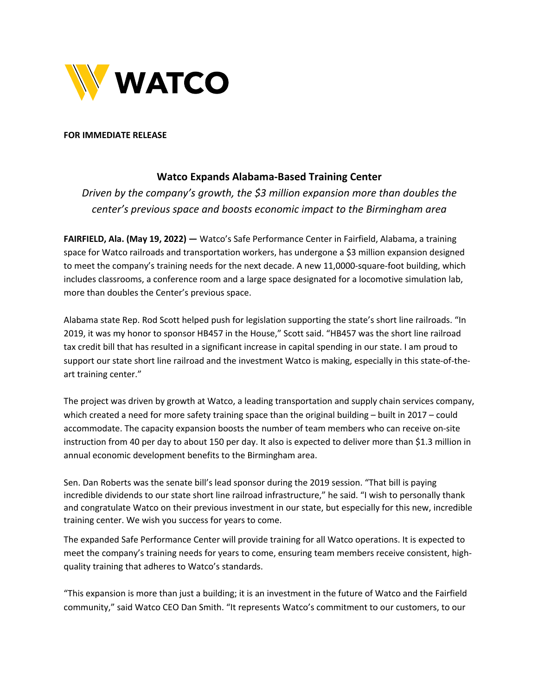

## **FOR IMMEDIATE RELEASE**

## **Watco Expands Alabama-Based Training Center**

*Driven by the company's growth, the \$3 million expansion more than doubles the center's previous space and boosts economic impact to the Birmingham area*

**FAIRFIELD, Ala. (May 19, 2022) —** Watco's Safe Performance Center in Fairfield, Alabama, a training space for Watco railroads and transportation workers, has undergone a \$3 million expansion designed to meet the company's training needs for the next decade. A new 11,0000-square-foot building, which includes classrooms, a conference room and a large space designated for a locomotive simulation lab, more than doubles the Center's previous space.

Alabama state Rep. Rod Scott helped push for legislation supporting the state's short line railroads. "In 2019, it was my honor to sponsor HB457 in the House," Scott said. "HB457 was the short line railroad tax credit bill that has resulted in a significant increase in capital spending in our state. I am proud to support our state short line railroad and the investment Watco is making, especially in this state-of-theart training center."

The project was driven by growth at Watco, a leading transportation and supply chain services company, which created a need for more safety training space than the original building - built in 2017 - could accommodate. The capacity expansion boosts the number of team members who can receive on-site instruction from 40 per day to about 150 per day. It also is expected to deliver more than \$1.3 million in annual economic development benefits to the Birmingham area.

Sen. Dan Roberts was the senate bill's lead sponsor during the 2019 session. "That bill is paying incredible dividends to our state short line railroad infrastructure," he said. "I wish to personally thank and congratulate Watco on their previous investment in our state, but especially for this new, incredible training center. We wish you success for years to come.

The expanded Safe Performance Center will provide training for all Watco operations. It is expected to meet the company's training needs for years to come, ensuring team members receive consistent, highquality training that adheres to Watco's standards.

"This expansion is more than just a building; it is an investment in the future of Watco and the Fairfield community," said Watco CEO Dan Smith. "It represents Watco's commitment to our customers, to our